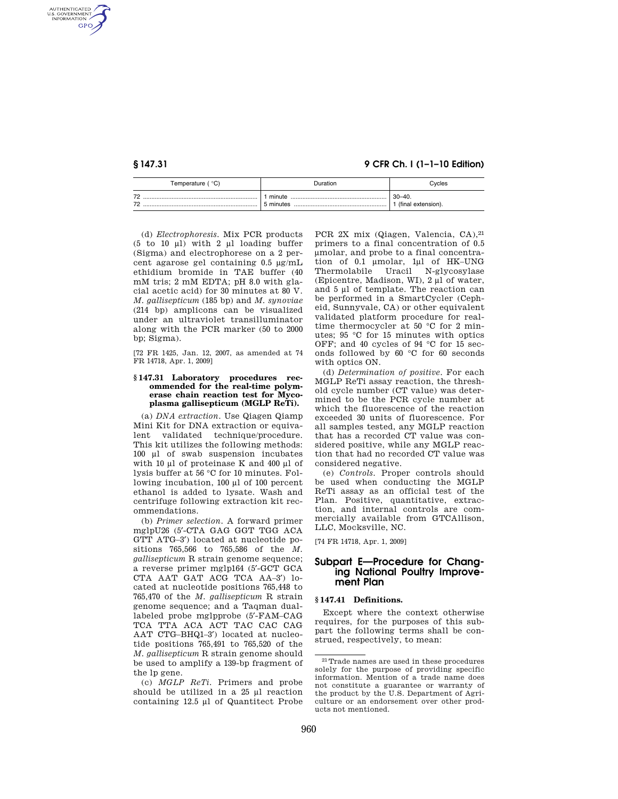AUTHENTICATED<br>U.S. GOVERNMENT<br>INFORMATION **GPO** 

**§ 147.31 9 CFR Ch. I (1–1–10 Edition)** 

| ືC)<br>Temperature (                                 | <b>Duration</b>         | Cycles                           |
|------------------------------------------------------|-------------------------|----------------------------------|
| $\overline{\phantom{a}}$<br>$\overline{\phantom{a}}$ | minute<br><br>5 minutes | $30 - 40.$<br>(final extension). |

(d) *Electrophoresis.* Mix PCR products (5 to 10  $\mu$ ) with 2  $\mu$ l loading buffer (Sigma) and electrophorese on a 2 percent agarose gel containing 0.5 μg/mL ethidium bromide in TAE buffer (40 mM tris; 2 mM EDTA; pH 8.0 with glacial acetic acid) for 30 minutes at 80 V. *M. gallisepticum* (185 bp) and *M. synoviae*  (214 bp) amplicons can be visualized under an ultraviolet transilluminator along with the PCR marker (50 to 2000 bp; Sigma).

[72 FR 1425, Jan. 12, 2007, as amended at 74 FR 14718, Apr. 1, 2009]

### **§ 147.31 Laboratory procedures recommended for the real-time polymerase chain reaction test for Mycoplasma gallisepticum (MGLP ReTi).**

(a) *DNA extraction*. Use Qiagen Qiamp Mini Kit for DNA extraction or equivalent validated technique/procedure. This kit utilizes the following methods: 100 μl of swab suspension incubates with 10 μl of proteinase K and 400 μl of lysis buffer at 56 °C for 10 minutes. Following incubation, 100 μl of 100 percent ethanol is added to lysate. Wash and centrifuge following extraction kit recommendations.

(b) *Primer selection*. A forward primer mglpU26 (5′-CTA GAG GGT TGG ACA GTT ATG–3′) located at nucleotide positions 765,566 to 765,586 of the *M. gallisepticum* R strain genome sequence; a reverse primer mglp164 (5′-GCT GCA CTA AAT GAT ACG TCA AA–3′) located at nucleotide positions 765,448 to 765,470 of the *M. gallisepticum* R strain genome sequence; and a Taqman duallabeled probe mglpprobe (5′-FAM–CAG TCA TTA ACA ACT TAC CAC CAG AAT CTG–BHQ1–3′) located at nucleotide positions 765,491 to 765,520 of the *M. gallisepticum* R strain genome should be used to amplify a 139-bp fragment of the lp gene.

(c) *MGLP ReTi*. Primers and probe should be utilized in a 25 μl reaction containing 12.5 μl of Quantitect Probe

PCR 2X mix (Qiagen, Valencia, CA), 21 primers to a final concentration of 0.5 μmolar, and probe to a final concentration of 0.1 μmolar, 1μl of HK–UNG<br>Thermolabile Uracil N-glycosylase Uracil N-glycosylase (Epicentre, Madison, WI), 2 μl of water, and 5 μl of template. The reaction can be performed in a SmartCycler (Cepheid, Sunnyvale, CA) or other equivalent validated platform procedure for realtime thermocycler at 50 °C for 2 minutes; 95 °C for 15 minutes with optics OFF; and 40 cycles of 94 °C for 15 seconds followed by 60 °C for 60 seconds with optics ON.

(d) *Determination of positive*. For each MGLP ReTi assay reaction, the threshold cycle number (CT value) was determined to be the PCR cycle number at which the fluorescence of the reaction exceeded 30 units of fluorescence. For all samples tested, any MGLP reaction that has a recorded CT value was considered positive, while any MGLP reaction that had no recorded CT value was considered negative.

(e) *Controls*. Proper controls should be used when conducting the MGLP ReTi assay as an official test of the Plan. Positive, quantitative, extraction, and internal controls are commercially available from GTCAllison, LLC, Mocksville, NC.

[74 FR 14718, Apr. 1, 2009]

# **Subpart E—Procedure for Changing National Poultry Improvement Plan**

# **§ 147.41 Definitions.**

Except where the context otherwise requires, for the purposes of this subpart the following terms shall be construed, respectively, to mean:

<sup>21</sup>Trade names are used in these procedures solely for the purpose of providing specific information. Mention of a trade name does not constitute a guarantee or warranty of the product by the U.S. Department of Agriculture or an endorsement over other products not mentioned.